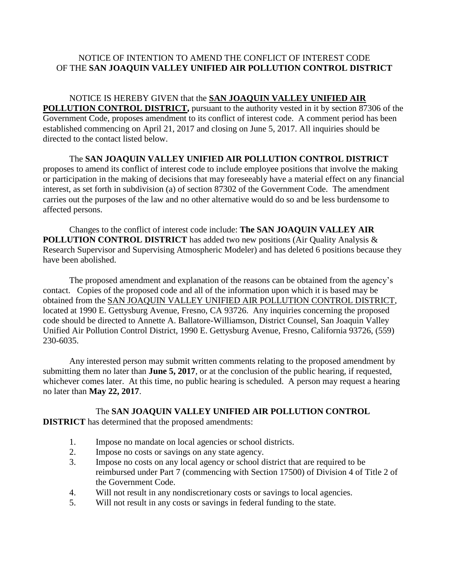## NOTICE OF INTENTION TO AMEND THE CONFLICT OF INTEREST CODE OF THE **SAN JOAQUIN VALLEY UNIFIED AIR POLLUTION CONTROL DISTRICT**

## NOTICE IS HEREBY GIVEN that the **SAN JOAQUIN VALLEY UNIFIED AIR POLLUTION CONTROL DISTRICT,** pursuant to the authority vested in it by section 87306 of the Government Code, proposes amendment to its conflict of interest code. A comment period has been established commencing on April 21, 2017 and closing on June 5, 2017. All inquiries should be directed to the contact listed below.

The **SAN JOAQUIN VALLEY UNIFIED AIR POLLUTION CONTROL DISTRICT** proposes to amend its conflict of interest code to include employee positions that involve the making or participation in the making of decisions that may foreseeably have a material effect on any financial interest, as set forth in subdivision (a) of section 87302 of the Government Code. The amendment carries out the purposes of the law and no other alternative would do so and be less burdensome to affected persons.

Changes to the conflict of interest code include: **The SAN JOAQUIN VALLEY AIR POLLUTION CONTROL DISTRICT** has added two new positions (Air Quality Analysis & Research Supervisor and Supervising Atmospheric Modeler) and has deleted 6 positions because they have been abolished.

The proposed amendment and explanation of the reasons can be obtained from the agency's contact. Copies of the proposed code and all of the information upon which it is based may be obtained from the SAN JOAQUIN VALLEY UNIFIED AIR POLLUTION CONTROL DISTRICT, located at 1990 E. Gettysburg Avenue, Fresno, CA 93726. Any inquiries concerning the proposed code should be directed to Annette A. Ballatore-Williamson, District Counsel, San Joaquin Valley Unified Air Pollution Control District, 1990 E. Gettysburg Avenue, Fresno, California 93726, (559) 230-6035.

Any interested person may submit written comments relating to the proposed amendment by submitting them no later than **June 5, 2017**, or at the conclusion of the public hearing, if requested, whichever comes later. At this time, no public hearing is scheduled. A person may request a hearing no later than **May 22, 2017**.

## The **SAN JOAQUIN VALLEY UNIFIED AIR POLLUTION CONTROL**

**DISTRICT** has determined that the proposed amendments:

- 1. Impose no mandate on local agencies or school districts.
- 2. Impose no costs or savings on any state agency.
- 3. Impose no costs on any local agency or school district that are required to be reimbursed under Part 7 (commencing with Section 17500) of Division 4 of Title 2 of the Government Code.
- 4. Will not result in any nondiscretionary costs or savings to local agencies.
- 5. Will not result in any costs or savings in federal funding to the state.